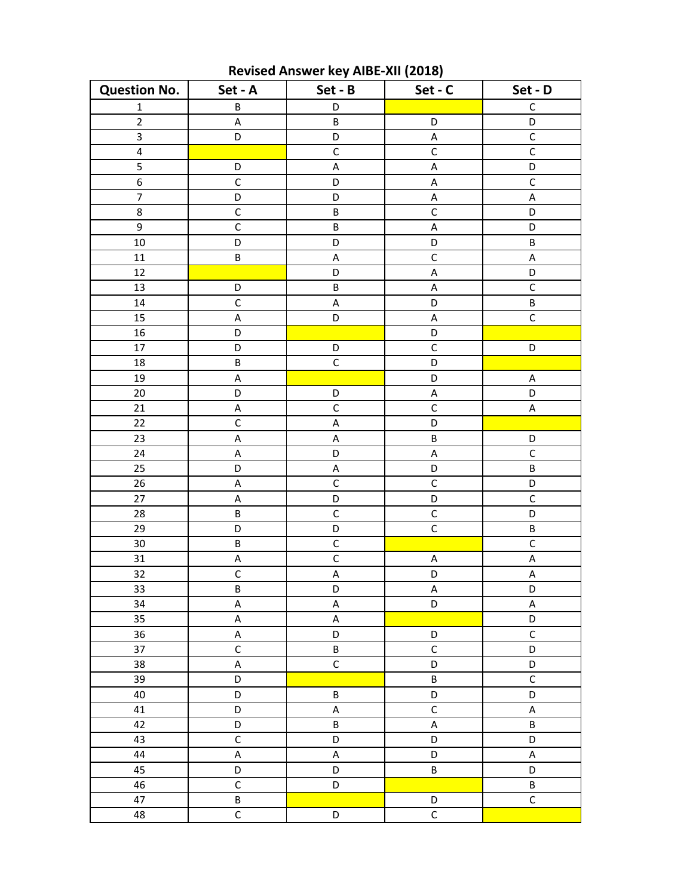| <b>Question No.</b> | Set - A                   | Set - B        | Set - C                   | Set - D                   |
|---------------------|---------------------------|----------------|---------------------------|---------------------------|
| $\mathbf 1$         | $\sf B$                   | D              |                           | $\mathsf C$               |
| $\mathbf 2$         | $\sf A$                   | $\sf B$        | D                         | D                         |
| $\mathsf 3$         | D                         | D              | A                         | $\mathsf C$               |
| $\pmb{4}$           |                           | $\mathsf C$    | $\overline{C}$            | $\mathsf C$               |
| 5                   | D                         | $\sf A$        | $\sf A$                   | D                         |
| $\overline{6}$      | $\overline{C}$            | D              | $\boldsymbol{\mathsf{A}}$ | $\overline{C}$            |
| $\overline{7}$      | D                         | D              | А                         | $\sf A$                   |
| 8                   | $\mathsf C$               | $\sf B$        | $\mathsf C$               | D                         |
| 9                   | $\mathsf C$               | $\sf B$        | $\sf A$                   | D                         |
| 10                  | D                         | D              | D                         | $\sf B$                   |
| $11\,$              | B                         | $\sf A$        | $\mathsf C$               | $\sf A$                   |
| 12                  |                           | D              | A                         | D                         |
| 13                  | D                         | $\sf B$        | A                         | $\mathsf C$               |
| 14                  | $\mathsf C$               | $\sf A$        | D                         | B                         |
| 15                  | A                         | D              | A                         | $\overline{C}$            |
| 16                  | D                         |                | D                         |                           |
| 17                  | D                         | D              | $\mathsf C$               | D                         |
| 18                  | B                         | $\mathsf C$    | D                         |                           |
| 19                  | A                         |                | D                         | $\sf A$                   |
| 20                  | D                         | D              | A                         | D                         |
| 21                  | A                         | $\mathsf C$    | $\mathsf C$               | $\sf A$                   |
| 22                  | $\mathsf C$               | $\sf A$        | D                         |                           |
| 23                  | $\boldsymbol{\mathsf{A}}$ | $\sf A$        | $\sf B$                   | D                         |
| 24                  | A                         | D              | $\boldsymbol{\mathsf{A}}$ | $\mathsf C$               |
| 25                  | D                         | A              | D                         | B                         |
| 26                  | A                         | $\mathsf C$    | $\mathsf C$               | D                         |
| $27\,$              | $\sf A$                   | D              | D                         | $\mathsf C$               |
| 28                  | $\sf B$                   | $\mathsf C$    | $\mathsf C$               | D                         |
| 29                  | D                         | D              | $\overline{C}$            | $\sf B$                   |
| 30                  | $\sf B$                   | $\mathsf C$    |                           | $\mathsf C$               |
| 31                  | A                         | $\overline{C}$ | A                         | $\sf A$                   |
| $32\,$              | $\overline{C}$            | $\sf A$        | D                         | $\boldsymbol{\mathsf{A}}$ |
| $\overline{33}$     | $\overline{B}$            | D              | A                         | D                         |
| 34                  | $\boldsymbol{\mathsf{A}}$ | A              | D                         | $\mathsf A$               |
| 35                  | $\sf A$                   | A              |                           | D                         |
| 36                  | A                         | D              | D                         | $\mathsf C$               |
| 37                  | $\mathsf{C}$              | B              | $\mathsf{C}$              | D                         |
| 38                  | $\mathsf A$               | $\mathsf C$    | D                         | D                         |
| 39                  | D                         |                | B                         | $\mathsf C$               |
| 40                  | $\mathsf D$               | B              | D                         | D                         |
| 41                  | D                         | A              | $\mathsf{C}$              | A                         |
| 42                  | D                         | B              | $\sf A$                   | $\sf B$                   |
| 43                  | $\mathsf C$               | D              | D                         | D                         |
| 44                  | $\sf A$                   | A              | D                         | A                         |
| 45                  | D                         | D              | B                         | D                         |
| 46                  | $\mathsf C$               | D              |                           | B                         |
| 47                  | B                         |                | D                         | $\mathsf C$               |
| 48                  | $\mathsf C$               | D              | $\mathsf C$               |                           |

Revised Answer key AIBE-XII (2018)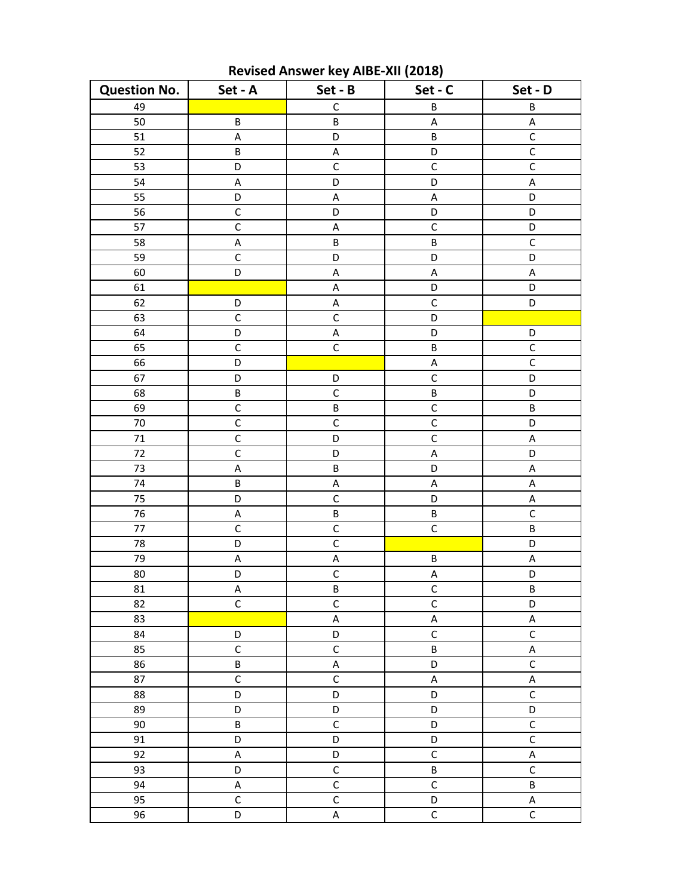| <b>Question No.</b> | Set - A                   | Set - B        | Set - C                   | Set - D        |
|---------------------|---------------------------|----------------|---------------------------|----------------|
| 49                  |                           | $\mathsf C$    | $\sf B$                   | $\sf B$        |
| 50                  | $\sf B$                   | B              | A                         | $\sf A$        |
| 51                  | A                         | D              | B                         | $\mathsf C$    |
| 52                  | B                         | $\sf A$        | D                         | $\overline{C}$ |
| 53                  | D                         | $\mathsf C$    | $\mathsf C$               | $\mathsf C$    |
| 54                  | A                         | D              | D                         | $\sf A$        |
| 55                  | D                         | A              | A                         | D              |
| 56                  | $\mathsf C$               | D              | D                         | D              |
| 57                  | $\mathsf C$               | A              | $\mathsf{C}$              | D              |
| 58                  | $\boldsymbol{\mathsf{A}}$ | B              | $\sf B$                   | $\overline{C}$ |
| 59                  | $\overline{C}$            | D              | D                         | D              |
| 60                  | D                         | $\sf A$        | A                         | $\sf A$        |
| 61                  |                           | A              | D                         | D              |
| 62                  | D                         | A              | $\mathsf{C}$              | D              |
| 63                  | $\mathsf C$               | $\overline{C}$ | D                         |                |
| 64                  | D                         | A              | D                         | D              |
| 65                  | $\mathsf C$               | $\mathsf C$    | B                         | $\mathsf C$    |
| 66                  | D                         |                | $\sf A$                   | $\overline{C}$ |
| 67                  | D                         | D              | $\mathsf C$               | D              |
| 68                  | $\sf B$                   | $\mathsf C$    | $\sf B$                   | D              |
| 69                  | $\mathsf C$               | $\sf B$        | $\mathsf{C}$              | B              |
| 70                  | $\mathsf C$               | $\mathsf C$    | $\mathsf{C}$              | D              |
| $71\,$              | $\mathsf C$               | D              | $\overline{C}$            | $\sf A$        |
| 72                  | $\mathsf C$               | D              | $\boldsymbol{\mathsf{A}}$ | D              |
| 73                  | A                         | $\sf B$        | D                         | A              |
| 74                  | B                         | А              | A                         | A              |
| 75                  | D                         | $\overline{C}$ | D                         | $\sf A$        |
| 76                  | A                         | $\sf B$        | B                         | $\mathsf C$    |
| $77$                | $\mathsf C$               | $\mathsf C$    | $\overline{C}$            | B              |
| 78                  | D                         | $\mathsf C$    |                           | D              |
| 79                  | A                         | $\sf A$        | B                         | $\sf A$        |
| 80                  | D                         | $\mathsf C$    | A                         | D              |
| 81                  | A                         | B              | $\mathsf{C}$              | B              |
| 82                  | $\mathsf{C}$              | $\mathsf C$    | $\overline{C}$            | D              |
| 83                  |                           | $\sf A$        | A                         | $\sf A$        |
| 84                  | D                         | D              | $\overline{C}$            | $\overline{C}$ |
| 85                  | $\mathsf C$               | $\mathsf C$    | B                         | $\sf A$        |
| 86                  | B                         | A              | D                         | $\mathsf C$    |
| 87                  | $\mathsf C$               | $\mathsf C$    | A                         | $\sf A$        |
| 88                  | D                         | D              | D                         | $\mathsf C$    |
| 89                  | D                         | D              | D                         | D              |
| $90\,$              | B                         | $\mathsf C$    | D                         | $\mathsf C$    |
| 91                  | D                         | D              | D                         | $\mathsf C$    |
| 92                  | $\sf A$                   | D              | $\overline{C}$            | $\sf A$        |
| 93                  | D                         | $\mathsf C$    | B                         | $\mathsf{C}$   |
| 94                  | $\sf A$                   | $\overline{C}$ | $\mathsf C$               | B              |
| 95                  | $\mathsf C$               | $\mathsf C$    | D                         | $\sf A$        |
| 96                  | D                         | $\sf A$        | $\mathsf C$               | $\mathsf C$    |

Revised Answer key AIBE-XII (2018)